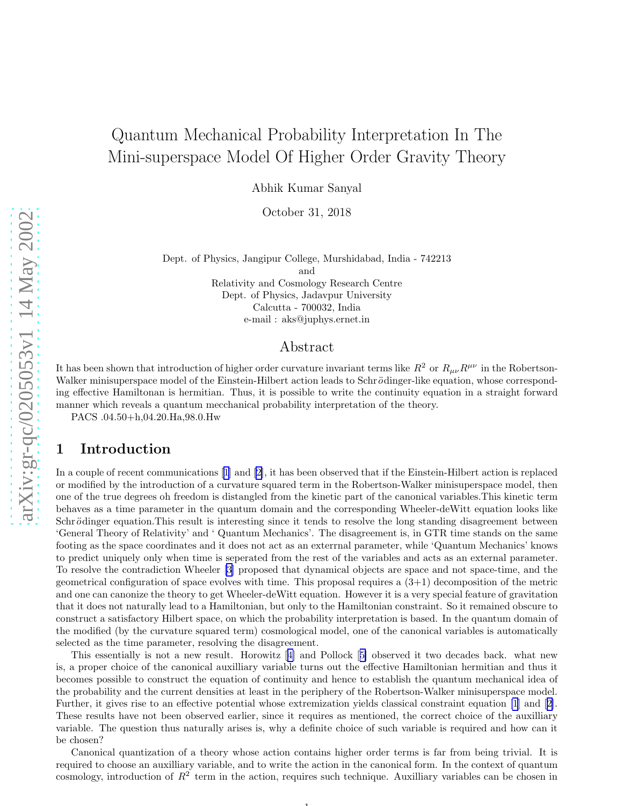# Quantum Mechanical Probability Interpretation In The Mini-superspace Model Of Higher Order Gravity Theory

Abhik Kumar Sanyal

October 31, 2018

Dept. of Physics, Jangipur College, Murshidabad, India - 742213

and

Relativity and Cosmology Research Centre Dept. of Physics, Jadavpur University Calcutta - 700032, India e-mail : aks@juphys.ernet.in

#### Abstract

It has been shown that introduction of higher order curvature invariant terms like  $R^2$  or  $R_{\mu\nu}R^{\mu\nu}$  in the Robertson-Walker minisuperspace model of the Einstein-Hilbert action leads to Schrödinger-like equation, whose corresponding effective Hamiltonan is hermitian. Thus, it is possible to write the continuity equation in a straight forward manner which reveals a quantum mecchanical probability interpretation of the theory.

PACS .04.50+h,04.20.Ha,98.0.Hw

### 1 Introduction

In a couple of recent communications [\[1\]](#page-9-0) and[[2\]](#page-9-0), it has been observed that if the Einstein-Hilbert action is replaced or modified by the introduction of a curvature squared term in the Robertson-Walker minisuperspace model, then one of the true degrees oh freedom is distangled from the kinetic part of the canonical variables.This kinetic term behaves as a time parameter in the quantum domain and the corresponding Wheeler-deWitt equation looks like Schrödinger equation. This result is interesting since it tends to resolve the long standing disagreement between 'General Theory of Relativity' and ' Quantum Mechanics'. The disagreement is, in GTR time stands on the same footing as the space coordinates and it does not act as an exterrnal parameter, while 'Quantum Mechanics' knows to predict uniquely only when time is seperated from the rest of the variables and acts as an external parameter. To resolve the contradiction Wheeler [\[3](#page-9-0)] proposed that dynamical objects are space and not space-time, and the geometrical configuration of space evolves with time. This proposal requires a  $(3+1)$  decomposition of the metric and one can canonize the theory to get Wheeler-deWitt equation. However it is a very special feature of gravitation that it does not naturally lead to a Hamiltonian, but only to the Hamiltonian constraint. So it remained obscure to construct a satisfactory Hilbert space, on which the probability interpretation is based. In the quantum domain of the modified (by the curvature squared term) cosmological model, one of the canonical variables is automatically selected as the time parameter, resolving the disagreement.

This essentially is not a new result. Horowitz[[4\]](#page-9-0) and Pollock[[5\]](#page-10-0) observed it two decades back. what new is, a proper choice of the canonical auxilliary variable turns out the effective Hamiltonian hermitian and thus it becomes possible to construct the equation of continuity and hence to establish the quantum mechanical idea of the probability and the current densities at least in the periphery of the Robertson-Walker minisuperspace model. Further, it gives rise to an effective potential whose extremization yields classical constraint equation [\[1](#page-9-0)] and[[2\]](#page-9-0). These results have not been observed earlier, since it requires as mentioned, the correct choice of the auxilliary variable. The question thus naturally arises is, why a definite choice of such variable is required and how can it be chosen?

Canonical quantization of a theory whose action contains higher order terms is far from being trivial. It is required to choose an auxilliary variable, and to write the action in the canonical form. In the context of quantum cosmology, introduction of  $R^2$  term in the action, requires such technique. Auxilliary variables can be chosen in

1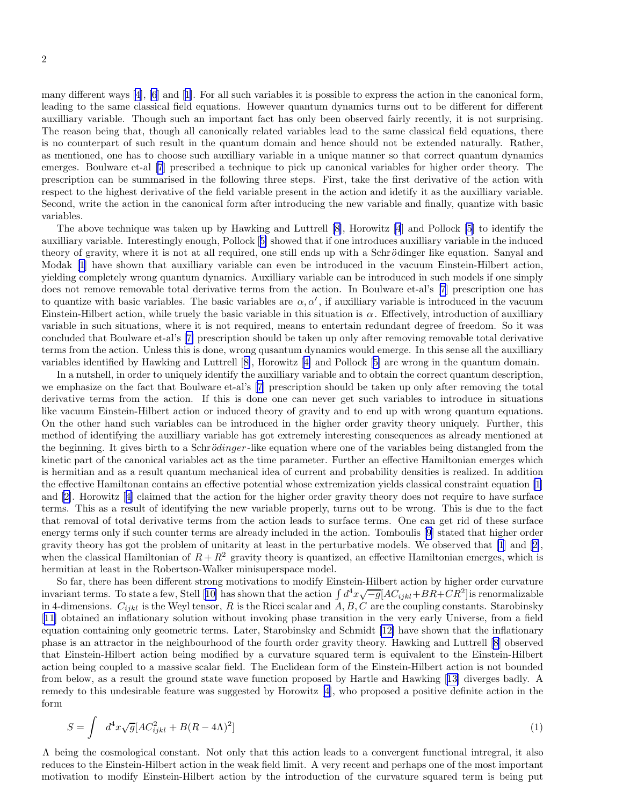many different ways [\[4\]](#page-9-0), [\[6](#page-10-0)] and[[1\]](#page-9-0). For all such variables it is possible to express the action in the canonical form, leading to the same classical field equations. However quantum dynamics turns out to be different for different auxilliary variable. Though such an important fact has only been observed fairly recently, it is not surprising. The reason being that, though all canonically related variables lead to the same classical field equations, there is no counterpart of such result in the quantum domain and hence should not be extended naturally. Rather, as mentioned, one has to choose such auxilliary variable in a unique manner so that correct quantum dynamics emerges. Boulware et-al [\[7](#page-10-0)] prescribed a technique to pick up canonical variables for higher order theory. The prescription can be summarised in the following three steps. First, take the first derivative of the action with respect to the highest derivative of the field variable present in the action and idetify it as the auxilliary variable. Second, write the action in the canonical form after introducing the new variable and finally, quantize with basic variables.

The above technique was taken up by Hawking and Luttrell [\[8\]](#page-10-0), Horowitz [\[4](#page-9-0)] and Pollock [\[5](#page-10-0)] to identify the auxilliary variable. Interestingly enough, Pollock[[5\]](#page-10-0) showed that if one introduces auxilliary variable in the induced theory of gravity, where it is not at all required, one still ends up with a Schrödinger like equation. Sanyal and Modak [\[1](#page-9-0)] have shown that auxilliary variable can even be introduced in the vacuum Einstein-Hilbert action, yielding completely wrong quantum dynamics. Auxilliary variable can be introduced in such models if one simply does not remove removable total derivative terms from the action. In Boulware et-al's [\[7](#page-10-0)] prescription one has to quantize with basic variables. The basic variables are  $\alpha, \alpha'$ , if auxilliary variable is introduced in the vacuum Einstein-Hilbert action, while truely the basic variable in this situation is  $\alpha$ . Effectively, introduction of auxilliary variable in such situations, where it is not required, means to entertain redundant degree of freedom. So it was concluded that Boulware et-al's [\[7\]](#page-10-0) prescription should be taken up only after removing removable total derivative terms from the action. Unless this is done, wrong qusantum dynamics would emerge. In this sense all the auxilliary variables identified by Hawking and Luttrell[[8\]](#page-10-0), Horowitz[[4\]](#page-9-0) and Pollock [[5\]](#page-10-0) are wrong in the quantum domain.

In a nutshell, in order to uniquely identify the auxilliary variable and to obtain the correct quantum description, we emphasize on the fact that Boulware et-al's [\[7\]](#page-10-0) prescription should be taken up only after removing the total derivative terms from the action. If this is done one can never get such variables to introduce in situations like vacuum Einstein-Hilbert action or induced theory of gravity and to end up with wrong quantum equations. On the other hand such variables can be introduced in the higher order gravity theory uniquely. Further, this method of identifying the auxilliary variable has got extremely interesting consequences as already mentioned at the beginning. It gives birth to a Schrödinger-like equation where one of the variables being distangled from the kinetic part of the canonical variables act as the time parameter. Further an effective Hamiltonian emerges which is hermitian and as a result quantum mechanical idea of current and probability densities is realized. In addition the effective Hamiltonan contains an effective potential whose extremization yields classical constraint equation [\[1](#page-9-0)] and[[2](#page-9-0)]. Horowitz[[4\]](#page-9-0) claimed that the action for the higher order gravity theory does not require to have surface terms. This as a result of identifying the new variable properly, turns out to be wrong. This is due to the fact that removal of total derivative terms from the action leads to surface terms. One can get rid of these surface energy terms only if such counter terms are already included in the action. Tomboulis [\[9](#page-10-0)] stated that higher order gravity theory has got the problem of unitarity at least in the perturbative models. We observed that [\[1](#page-9-0)] and[[2\]](#page-9-0), when the classical Hamiltonian of  $R + R^2$  gravity theory is quantized, an effective Hamiltonian emerges, which is hermitian at least in the Robertson-Walker minisuperspace model.

So far, there has been different strong motivations to modify Einstein-Hilbert action by higher order curvature invariantterms. To state a few, Stell [[10\]](#page-10-0) has shown that the action  $\int d^4x\sqrt{-g}[AC_{ijkl}+BR+CR^2]$  is renormalizable in 4-dimensions.  $C_{ijkl}$  is the Weyl tensor, R is the Ricci scalar and  $A, B, C$  are the coupling constants. Starobinsky [[11\]](#page-10-0) obtained an inflationary solution without invoking phase transition in the very early Universe, from a field equation containing only geometric terms. Later, Starobinsky and Schmidt [\[12\]](#page-10-0) have shown that the inflationary phase is an attractor in the neighbourhood of the fourth order gravity theory. Hawking and Luttrell [\[8](#page-10-0)] observed that Einstein-Hilbert action being modified by a curvature squared term is equivalent to the Einstein-Hilbert action being coupled to a massive scalar field. The Euclidean form of the Einstein-Hilbert action is not bounded from below, as a result the ground state wave function proposed by Hartle and Hawking[[13\]](#page-10-0) diverges badly. A remedy to this undesirable feature was suggested by Horowitz [\[4\]](#page-9-0), who proposed a positive definite action in the form

$$
S = \int d^4x \sqrt{g} [AC_{ijkl}^2 + B(R - 4\Lambda)^2]
$$
\n<sup>(1)</sup>

Λ being the cosmological constant. Not only that this action leads to a convergent functional intregral, it also reduces to the Einstein-Hilbert action in the weak field limit. A very recent and perhaps one of the most important motivation to modify Einstein-Hilbert action by the introduction of the curvature squared term is being put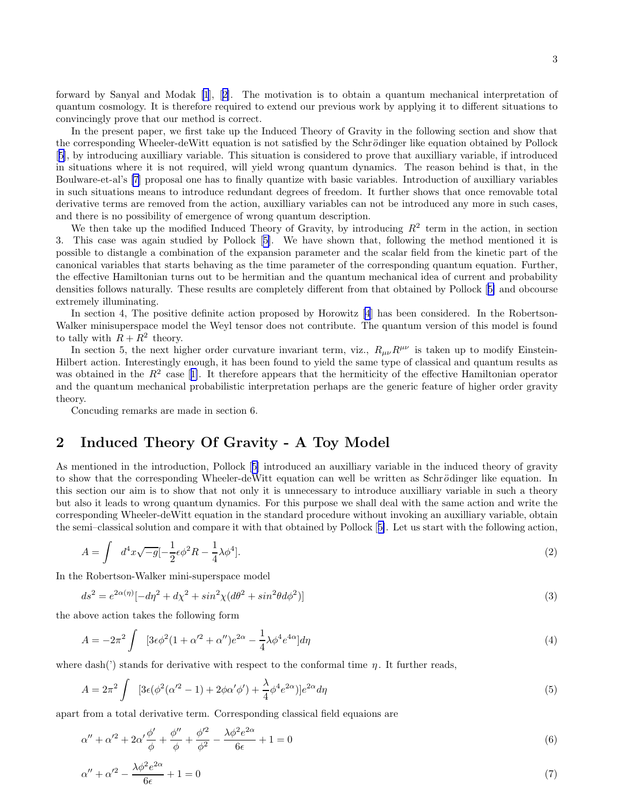forward by Sanyal and Modak [\[1](#page-9-0)],[[2\]](#page-9-0). The motivation is to obtain a quantum mechanical interpretation of quantum cosmology. It is therefore required to extend our previous work by applying it to different situations to convincingly prove that our method is correct.

In the present paper, we first take up the Induced Theory of Gravity in the following section and show that the corresponding Wheeler-deWitt equation is not satisfied by the Schrödinger like equation obtained by Pollock [[5\]](#page-10-0), by introducing auxilliary variable. This situation is considered to prove that auxilliary variable, if introduced in situations where it is not required, will yield wrong quantum dynamics. The reason behind is that, in the Boulware-et-al's [\[7](#page-10-0)] proposal one has to finally quantize with basic variables. Introduction of auxilliary variables in such situations means to introduce redundant degrees of freedom. It further shows that once removable total derivative terms are removed from the action, auxilliary variables can not be introduced any more in such cases, and there is no possibility of emergence of wrong quantum description.

We then take up the modified Induced Theory of Gravity, by introducing  $R^2$  term in the action, in section 3. This case was again studied by Pollock[[5\]](#page-10-0). We have shown that, following the method mentioned it is possible to distangle a combination of the expansion parameter and the scalar field from the kinetic part of the canonical variables that starts behaving as the time parameter of the corresponding quantum equation. Further, the effective Hamiltonian turns out to be hermitian and the quantum mechanical idea of current and probability densities follows naturally. These results are completely different from that obtained by Pollock[[5\]](#page-10-0) and obcourse extremely illuminating.

In section 4, The positive definite action proposed by Horowitz [\[4](#page-9-0)] has been considered. In the Robertson-Walker minisuperspace model the Weyl tensor does not contribute. The quantum version of this model is found to tally with  $R + R^2$  theory.

In section 5, the next higher order curvature invariant term, viz.,  $R_{\mu\nu}R^{\mu\nu}$  is taken up to modify Einstein-Hilbert action. Interestingly enough, it has been found to yield the same type of classical and quantum results as wasobtained in the  $R^2$  case [[1\]](#page-9-0). It therefore appears that the hermiticity of the effective Hamiltonian operator and the quantum mechanical probabilistic interpretation perhaps are the generic feature of higher order gravity theory.

Concuding remarks are made in section 6.

## 2 Induced Theory Of Gravity - A Toy Model

As mentioned in the introduction, Pollock[[5\]](#page-10-0) introduced an auxilliary variable in the induced theory of gravity to show that the corresponding Wheeler-deWitt equation can well be written as Schrödinger like equation. In this section our aim is to show that not only it is unnecessary to introduce auxilliary variable in such a theory but also it leads to wrong quantum dynamics. For this purpose we shall deal with the same action and write the corresponding Wheeler-deWitt equation in the standard procedure without invoking an auxilliary variable, obtain the semi–classical solution and compare it with that obtained by Pollock[[5\]](#page-10-0). Let us start with the following action,

$$
A = \int d^4x \sqrt{-g} \left[-\frac{1}{2} \epsilon \phi^2 R - \frac{1}{4} \lambda \phi^4\right].
$$
 (2)

In the Robertson-Walker mini-superspace model

$$
ds^{2} = e^{2\alpha(\eta)}[-d\eta^{2} + d\chi^{2} + \sin^{2}\chi(d\theta^{2} + \sin^{2}\theta d\phi^{2})]
$$
\n(3)

the above action takes the following form

$$
A = -2\pi^2 \int \left[3\epsilon\phi^2(1+\alpha'^2+\alpha'')e^{2\alpha} - \frac{1}{4}\lambda\phi^4e^{4\alpha}\right]d\eta\tag{4}
$$

where dash(') stands for derivative with respect to the conformal time  $\eta$ . It further reads,

$$
A = 2\pi^2 \int \left[3\epsilon(\phi^2(\alpha'^2 - 1) + 2\phi\alpha'\phi') + \frac{\lambda}{4}\phi^4 e^{2\alpha})\right]e^{2\alpha}d\eta\tag{5}
$$

apart from a total derivative term. Corresponding classical field equaions are

$$
\alpha'' + \alpha'^2 + 2\alpha' \frac{\phi'}{\phi} + \frac{\phi''}{\phi} + \frac{\phi'^2}{\phi^2} - \frac{\lambda \phi^2 e^{2\alpha}}{6\epsilon} + 1 = 0
$$
\n(6)

$$
\alpha'' + \alpha'^2 - \frac{\lambda \phi^2 e^{2\alpha}}{6\epsilon} + 1 = 0\tag{7}
$$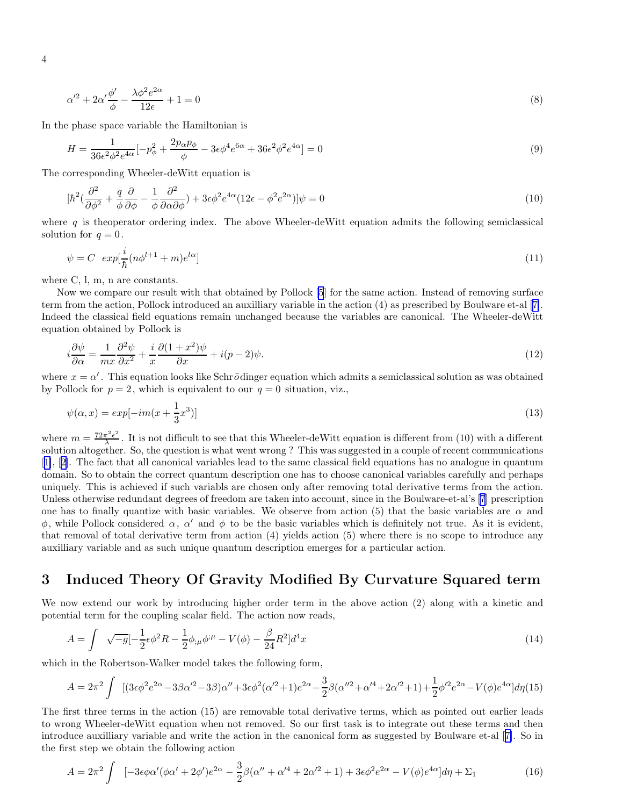$$
\alpha'^2 + 2\alpha' \frac{\phi'}{\phi} - \frac{\lambda \phi^2 e^{2\alpha}}{12\epsilon} + 1 = 0\tag{8}
$$

In the phase space variable the Hamiltonian is

$$
H = \frac{1}{36\epsilon^2 \phi^2 e^{4\alpha}} \left[ -p_\phi^2 + \frac{2p_\alpha p_\phi}{\phi} - 3\epsilon \phi^4 e^{6\alpha} + 36\epsilon^2 \phi^2 e^{4\alpha} \right] = 0 \tag{9}
$$

The corresponding Wheeler-deWitt equation is

$$
[\hbar^2(\frac{\partial^2}{\partial\phi^2} + \frac{q}{\phi}\frac{\partial}{\partial\phi} - \frac{1}{\phi}\frac{\partial^2}{\partial\alpha\partial\phi}) + 3\epsilon\phi^2 e^{4\alpha}(12\epsilon - \phi^2 e^{2\alpha})]\psi = 0
$$
\n(10)

where  $q$  is the operator ordering index. The above Wheeler-deWitt equation admits the following semiclassical solution for  $q=0$ .

$$
\psi = C \exp[\frac{i}{\hbar}(n\phi^{l+1} + m)e^{l\alpha}] \tag{11}
$$

where C, l, m, n are constants.

Now we compare our result with that obtained by Pollock [\[5](#page-10-0)] for the same action. Instead of removing surface term from the action, Pollock introduced an auxilliary variable in the action (4) as prescribed by Boulware et-al[[7\]](#page-10-0). Indeed the classical field equations remain unchanged because the variables are canonical. The Wheeler-deWitt equation obtained by Pollock is

$$
i\frac{\partial\psi}{\partial\alpha} = \frac{1}{mx}\frac{\partial^2\psi}{\partial x^2} + \frac{i}{x}\frac{\partial(1+x^2)\psi}{\partial x} + i(p-2)\psi.
$$
\n(12)

where  $x = \alpha'$ . This equation looks like Schrödinger equation which admits a semiclassical solution as was obtained by Pollock for  $p = 2$ , which is equivalent to our  $q = 0$  situation, viz.,

$$
\psi(\alpha, x) = exp[-im(x + \frac{1}{3}x^3)]\tag{13}
$$

where  $m = \frac{72\pi^2\epsilon^2}{\lambda}$  $\frac{\pi^2 \epsilon^2}{\lambda}$ . It is not difficult to see that this Wheeler-deWitt equation is different from (10) with a different solution altogether. So, the question is what went wrong ? This was suggested in a couple of recent communications [[1\]](#page-9-0),[[2\]](#page-9-0). The fact that all canonical variables lead to the same classical field equations has no analogue in quantum domain. So to obtain the correct quantum description one has to choose canonical variables carefully and perhaps uniquely. This is achieved if such variabls are chosen only after removing total derivative terms from the action. Unless otherwise redundant degrees of freedom are taken into account, since in the Boulware-et-al's [\[7\]](#page-10-0) prescription one has to finally quantize with basic variables. We observe from action (5) that the basic variables are  $\alpha$  and  $\phi$ , while Pollock considered  $\alpha$ ,  $\alpha'$  and  $\phi$  to be the basic variables which is definitely not true. As it is evident, that removal of total derivative term from action (4) yields action (5) where there is no scope to introduce any auxilliary variable and as such unique quantum description emerges for a particular action.

### 3 Induced Theory Of Gravity Modified By Curvature Squared term

We now extend our work by introducing higher order term in the above action (2) along with a kinetic and potential term for the coupling scalar field. The action now reads,

$$
A = \int \sqrt{-g} \left[-\frac{1}{2}\epsilon \phi^2 R - \frac{1}{2}\phi_{;\mu}\phi^{;\mu} - V(\phi) - \frac{\beta}{24}R^2\right]d^4x\tag{14}
$$

which in the Robertson-Walker model takes the following form,

$$
A = 2\pi^2 \int \left[ (3\epsilon \phi^2 e^{2\alpha} - 3\beta \alpha'^2 - 3\beta) \alpha'' + 3\epsilon \phi^2 (\alpha'^2 + 1) e^{2\alpha} - \frac{3}{2} \beta (\alpha''^2 + \alpha'^4 + 2\alpha'^2 + 1) + \frac{1}{2} \phi'^2 e^{2\alpha} - V(\phi) e^{4\alpha} \right] d\eta (15)
$$

The first three terms in the action (15) are removable total derivative terms, which as pointed out earlier leads to wrong Wheeler-deWitt equation when not removed. So our first task is to integrate out these terms and then introduce auxilliary variable and write the action in the canonical form as suggested by Boulware et-al[[7\]](#page-10-0). So in the first step we obtain the following action

$$
A = 2\pi^2 \int \left[ -3\epsilon \phi \alpha' (\phi \alpha' + 2\phi') e^{2\alpha} - \frac{3}{2} \beta (\alpha'' + \alpha'^4 + 2\alpha'^2 + 1) + 3\epsilon \phi^2 e^{2\alpha} - V(\phi) e^{4\alpha} \right] d\eta + \Sigma_1
$$
(16)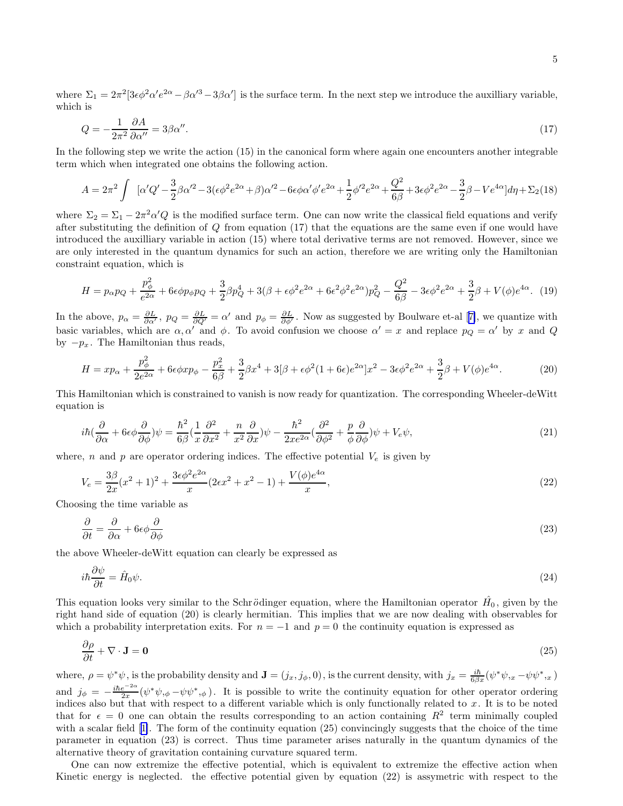where  $\Sigma_1 = 2\pi^2 [3\epsilon\phi^2\alpha' e^{2\alpha} - \beta\alpha'^3 - 3\beta\alpha']$  is the surface term. In the next step we introduce the auxilliary variable, which is

$$
Q = -\frac{1}{2\pi^2} \frac{\partial A}{\partial \alpha''} = 3\beta \alpha''.
$$
\n<sup>(17)</sup>

In the following step we write the action (15) in the canonical form where again one encounters another integrable term which when integrated one obtains the following action.

$$
A = 2\pi^2 \int \left[ \alpha' Q' - \frac{3}{2} \beta \alpha'^2 - 3(\epsilon \phi^2 e^{2\alpha} + \beta) \alpha'^2 - 6\epsilon \phi \alpha' \phi' e^{2\alpha} + \frac{1}{2} \phi'^2 e^{2\alpha} + \frac{Q^2}{6\beta} + 3\epsilon \phi^2 e^{2\alpha} - \frac{3}{2} \beta - V e^{4\alpha} \right] d\eta + \Sigma_2(18)
$$

where  $\Sigma_2 = \Sigma_1 - 2\pi^2 \alpha' Q$  is the modified surface term. One can now write the classical field equations and verify after substituting the definition of Q from equation (17) that the equations are the same even if one would have introduced the auxilliary variable in action (15) where total derivative terms are not removed. However, since we are only interested in the quantum dynamics for such an action, therefore we are writing only the Hamiltonian constraint equation, which is

$$
H = p_{\alpha}p_{Q} + \frac{p_{\phi}^{2}}{e^{2\alpha}} + 6\epsilon\phi p_{\phi}p_{Q} + \frac{3}{2}\beta p_{Q}^{4} + 3(\beta + \epsilon\phi^{2}e^{2\alpha} + 6\epsilon^{2}\phi^{2}e^{2\alpha})p_{Q}^{2} - \frac{Q^{2}}{6\beta} - 3\epsilon\phi^{2}e^{2\alpha} + \frac{3}{2}\beta + V(\phi)e^{4\alpha}.
$$
 (19)

Inthe above,  $p_{\alpha} = \frac{\partial L}{\partial \alpha'}$ ,  $p_Q = \frac{\partial L}{\partial Q'} = \alpha'$  and  $p_{\phi} = \frac{\partial L}{\partial \phi'}$ . Now as suggested by Boulware et-al [[7\]](#page-10-0), we quantize with basic variables, which are  $\alpha, \alpha'$  and  $\phi$ . To avoid confusion we choose  $\alpha' = x$  and replace  $p_Q = \alpha'$  by x and Q by  $-p_x$ . The Hamiltonian thus reads,

$$
H = xp_{\alpha} + \frac{p_{\phi}^{2}}{2e^{2\alpha}} + 6\epsilon\phi xp_{\phi} - \frac{p_{x}^{2}}{6\beta} + \frac{3}{2}\beta x^{4} + 3[\beta + \epsilon\phi^{2}(1 + 6\epsilon)e^{2\alpha}]x^{2} - 3\epsilon\phi^{2}e^{2\alpha} + \frac{3}{2}\beta + V(\phi)e^{4\alpha}.
$$
 (20)

This Hamiltonian which is constrained to vanish is now ready for quantization. The corresponding Wheeler-deWitt equation is

$$
i\hbar(\frac{\partial}{\partial\alpha} + 6\epsilon\phi\frac{\partial}{\partial\phi})\psi = \frac{\hbar^2}{6\beta}(\frac{1}{x}\frac{\partial^2}{\partial x^2} + \frac{n}{x^2}\frac{\partial}{\partial x})\psi - \frac{\hbar^2}{2xe^{2\alpha}}(\frac{\partial^2}{\partial\phi^2} + \frac{p}{\phi}\frac{\partial}{\partial\phi})\psi + V_e\psi,
$$
\n(21)

where, n and p are operator ordering indices. The effective potential  $V_e$  is given by

$$
V_e = \frac{3\beta}{2x}(x^2+1)^2 + \frac{3\epsilon\phi^2 e^{2\alpha}}{x}(2\epsilon x^2+x^2-1) + \frac{V(\phi)e^{4\alpha}}{x},\tag{22}
$$

Choosing the time variable as

$$
\frac{\partial}{\partial t} = \frac{\partial}{\partial \alpha} + 6\epsilon\phi \frac{\partial}{\partial \phi} \tag{23}
$$

the above Wheeler-deWitt equation can clearly be expressed as

$$
i\hbar \frac{\partial \psi}{\partial t} = \hat{H}_0 \psi. \tag{24}
$$

This equation looks very similar to the Schrödinger equation, where the Hamiltonian operator  $\hat{H_0}$ , given by the right hand side of equation (20) is clearly hermitian. This implies that we are now dealing with observables for which a probability interpretation exits. For  $n = -1$  and  $p = 0$  the continuity equation is expressed as

$$
\frac{\partial \rho}{\partial t} + \nabla \cdot \mathbf{J} = \mathbf{0} \tag{25}
$$

where,  $\rho = \psi^* \psi$ , is the probability density and  $\mathbf{J} = (j_x, j_\phi, 0)$ , is the current density, with  $j_x = \frac{i\hbar}{6\beta x}(\psi^* \psi_{,x} - \psi \psi_{,x})$ and  $j_{\phi} = -\frac{i\hbar e^{-2\alpha}}{2x}$  $\frac{e^{-2\alpha}}{2x}(\psi^*\psi,\phi-\psi\psi^*,\phi)$ . It is possible to write the continuity equation for other operator ordering indices also but that with respect to a different variable which is only functionally related to x. It is to be noted that for  $\epsilon = 0$  one can obtain the results corresponding to an action containing  $R^2$  term minimally coupled witha scalar field [[1\]](#page-9-0). The form of the continuity equation (25) convincingly suggests that the choice of the time parameter in equation (23) is correct. Thus time parameter arises naturally in the quantum dynamics of the alternative theory of gravitation containing curvature squared term.

One can now extremize the effective potential, which is equivalent to extremize the effective action when Kinetic energy is neglected. the effective potential given by equation (22) is assymetric with respect to the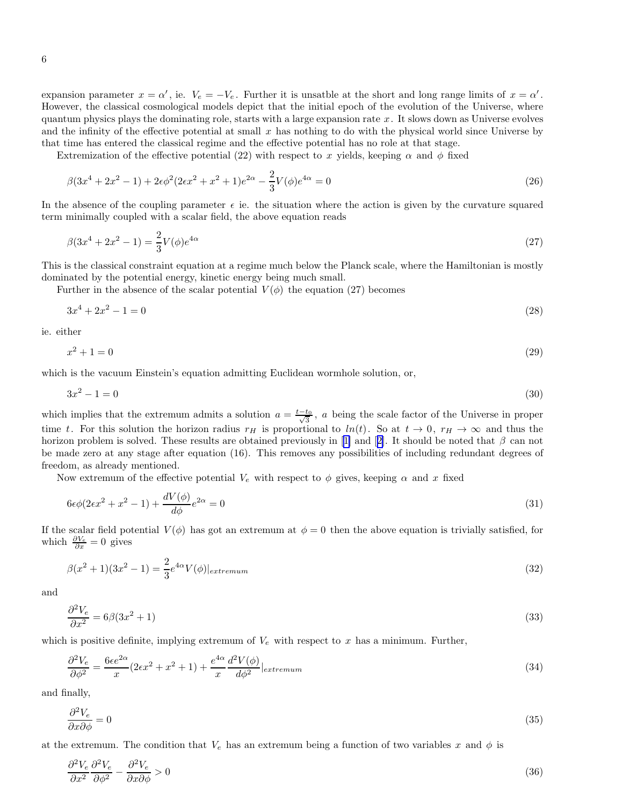expansion parameter  $x = \alpha'$ , ie.  $V_e = -V_e$ . Further it is unsatble at the short and long range limits of  $x = \alpha'$ . However, the classical cosmological models depict that the initial epoch of the evolution of the Universe, where quantum physics plays the dominating role, starts with a large expansion rate  $x$ . It slows down as Universe evolves and the infinity of the effective potential at small  $x$  has nothing to do with the physical world since Universe by that time has entered the classical regime and the effective potential has no role at that stage.

Extremization of the effective potential (22) with respect to x yields, keeping  $\alpha$  and  $\phi$  fixed

$$
\beta(3x^4 + 2x^2 - 1) + 2\epsilon\phi^2(2\epsilon x^2 + x^2 + 1)e^{2\alpha} - \frac{2}{3}V(\phi)e^{4\alpha} = 0
$$
\n(26)

In the absence of the coupling parameter  $\epsilon$  ie. the situation where the action is given by the curvature squared term minimally coupled with a scalar field, the above equation reads

$$
\beta(3x^4 + 2x^2 - 1) = \frac{2}{3}V(\phi)e^{4\alpha} \tag{27}
$$

This is the classical constraint equation at a regime much below the Planck scale, where the Hamiltonian is mostly dominated by the potential energy, kinetic energy being much small.

Further in the absence of the scalar potential  $V(\phi)$  the equation (27) becomes

$$
3x^4 + 2x^2 - 1 = 0 \tag{28}
$$

ie. either

$$
x^2 + 1 = 0 \tag{29}
$$

which is the vacuum Einstein's equation admitting Euclidean wormhole solution, or,

$$
3x^2 - 1 = 0 \tag{30}
$$

which implies that the extremum admits a solution  $a = \frac{t-t_0}{\sqrt{3}}$ , a being the scale factor of the Universe in proper time t. For this solution the horizon radius  $r_H$  is proportional to  $ln(t)$ . So at  $t \to 0$ ,  $r_H \to \infty$  and thus the horizonproblem is solved. These results are obtained previously in [[1\]](#page-9-0) and [[2\]](#page-9-0). It should be noted that  $\beta$  can not be made zero at any stage after equation (16). This removes any possibilities of including redundant degrees of freedom, as already mentioned.

Now extremum of the effective potential  $V_e$  with respect to  $\phi$  gives, keeping  $\alpha$  and x fixed

$$
6\epsilon\phi(2\epsilon x^2 + x^2 - 1) + \frac{dV(\phi)}{d\phi}e^{2\alpha} = 0
$$
\n(31)

If the scalar field potential  $V(\phi)$  has got an extremum at  $\phi = 0$  then the above equation is trivially satisfied, for which  $\frac{\partial V_e}{\partial x} = 0$  gives

$$
\beta(x^2+1)(3x^2-1) = \frac{2}{3}e^{4\alpha}V(\phi)|_{extremum}
$$
\n(32)

and

$$
\frac{\partial^2 V_e}{\partial x^2} = 6\beta(3x^2 + 1) \tag{33}
$$

which is positive definite, implying extremum of  $V_e$  with respect to x has a minimum. Further,

$$
\frac{\partial^2 V_e}{\partial \phi^2} = \frac{6\epsilon e^{2\alpha}}{x} (2\epsilon x^2 + x^2 + 1) + \frac{e^{4\alpha}}{x} \frac{d^2 V(\phi)}{d\phi^2}|_{extremum}
$$
(34)

and finally,

$$
\frac{\partial^2 V_e}{\partial x \partial \phi} = 0 \tag{35}
$$

at the extremum. The condition that  $V_e$  has an extremum being a function of two variables x and  $\phi$  is

$$
\frac{\partial^2 V_e}{\partial x^2} \frac{\partial^2 V_e}{\partial \phi^2} - \frac{\partial^2 V_e}{\partial x \partial \phi} > 0 \tag{36}
$$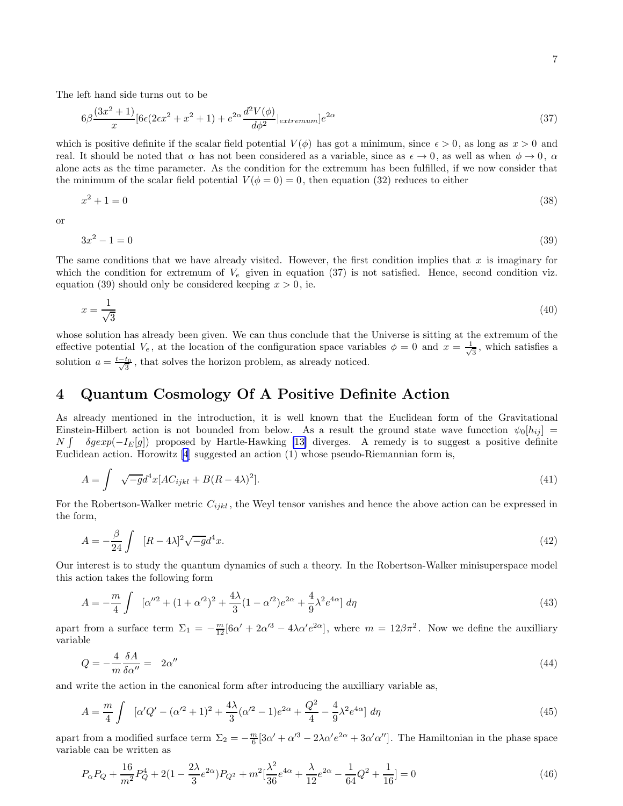The left hand side turns out to be

$$
6\beta \frac{(3x^2+1)}{x} [6\epsilon (2\epsilon x^2+x^2+1)+e^{2\alpha} \frac{d^2 V(\phi)}{d\phi^2}|_{extremum}]e^{2\alpha} \tag{37}
$$

which is positive definite if the scalar field potential  $V(\phi)$  has got a minimum, since  $\epsilon > 0$ , as long as  $x > 0$  and real. It should be noted that  $\alpha$  has not been considered as a variable, since as  $\epsilon \to 0$ , as well as when  $\phi \to 0$ ,  $\alpha$ alone acts as the time parameter. As the condition for the extremum has been fulfilled, if we now consider that the minimum of the scalar field potential  $V(\phi = 0) = 0$ , then equation (32) reduces to either

$$
x^2 + 1 = 0 \tag{38}
$$

or

$$
3x^2 - 1 = 0 \tag{39}
$$

The same conditions that we have already visited. However, the first condition implies that x is imaginary for which the condition for extremum of  $V_e$  given in equation (37) is not satisfied. Hence, second condition viz. equation (39) should only be considered keeping  $x > 0$ , ie.

$$
x = \frac{1}{\sqrt{3}}\tag{40}
$$

whose solution has already been given. We can thus conclude that the Universe is sitting at the extremum of the effective potential  $V_e$ , at the location of the configuration space variables  $\phi = 0$  and  $x = \frac{1}{\sqrt{2}}$  $\frac{1}{3}$ , which satisfies a solution  $a = \frac{t-t_0}{\sqrt{3}}$ , that solves the horizon problem, as already noticed.

## 4 Quantum Cosmology Of A Positive Definite Action

As already mentioned in the introduction, it is well known that the Euclidean form of the Gravitational Einstein-Hilbert action is not bounded from below. As a result the ground state wave funcction  $\psi_0[h_{ij}]$  $N$  ∫  $\delta gexp(-I<sub>E</sub>[g])$  proposed by Hartle-Hawking [\[13\]](#page-10-0) diverges. A remedy is to suggest a positive definite Euclidean action. Horowitz [\[4](#page-9-0)] suggested an action (1) whose pseudo-Riemannian form is,

$$
A = \int \sqrt{-g}d^4x[AC_{ijkl} + B(R - 4\lambda)^2].
$$
\n(41)

For the Robertson-Walker metric  $C_{ijkl}$ , the Weyl tensor vanishes and hence the above action can be expressed in the form,

$$
A = -\frac{\beta}{24} \int \left[ (R - 4\lambda)^2 \sqrt{-g} d^4 x. \right] \tag{42}
$$

Our interest is to study the quantum dynamics of such a theory. In the Robertson-Walker minisuperspace model this action takes the following form

$$
A = -\frac{m}{4} \int \left[ \alpha''^2 + (1 + \alpha'^2)^2 + \frac{4\lambda}{3} (1 - \alpha'^2) e^{2\alpha} + \frac{4}{9} \lambda^2 e^{4\alpha} \right] d\eta \tag{43}
$$

apart from a surface term  $\Sigma_1 = -\frac{m}{12} [6\alpha' + 2\alpha'^3 - 4\lambda \alpha' e^{2\alpha}]$ , where  $m = 12\beta\pi^2$ . Now we define the auxilliary variable

$$
Q = -\frac{4}{m} \frac{\delta A}{\delta \alpha''} = 2\alpha'' \tag{44}
$$

and write the action in the canonical form after introducing the auxilliary variable as,

$$
A = \frac{m}{4} \int \left[ \alpha' Q' - (\alpha'^2 + 1)^2 + \frac{4\lambda}{3} (\alpha'^2 - 1) e^{2\alpha} + \frac{Q^2}{4} - \frac{4}{9} \lambda^2 e^{4\alpha} \right] d\eta \tag{45}
$$

apart from a modified surface term  $\Sigma_2 = -\frac{m}{6} [3\alpha' + \alpha'^3 - 2\lambda \alpha' e^{2\alpha} + 3\alpha' \alpha'']$ . The Hamiltonian in the phase space variable can be written as

$$
P_{\alpha}P_{Q} + \frac{16}{m^{2}}P_{Q}^{4} + 2(1 - \frac{2\lambda}{3}e^{2\alpha})P_{Q^{2}} + m^{2}[\frac{\lambda^{2}}{36}e^{4\alpha} + \frac{\lambda}{12}e^{2\alpha} - \frac{1}{64}Q^{2} + \frac{1}{16}] = 0
$$
\n(46)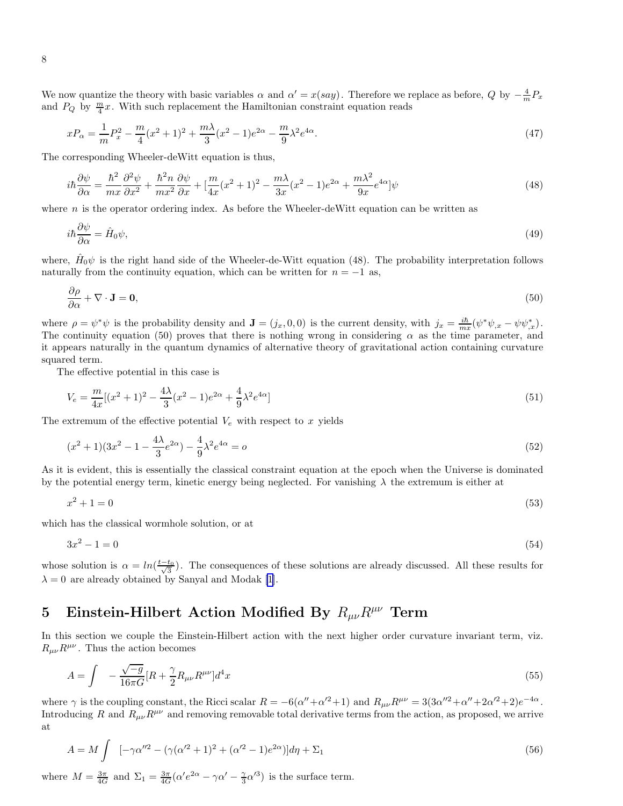We now quantize the theory with basic variables  $\alpha$  and  $\alpha' = x(say)$ . Therefore we replace as before, Q by  $-\frac{4}{m}P_x$ and  $P_Q$  by  $\frac{m}{4}x$ . With such replacement the Hamiltonian constraint equation reads

$$
xP_{\alpha} = \frac{1}{m}P_x^2 - \frac{m}{4}(x^2 + 1)^2 + \frac{m\lambda}{3}(x^2 - 1)e^{2\alpha} - \frac{m}{9}\lambda^2 e^{4\alpha}.
$$
 (47)

The corresponding Wheeler-deWitt equation is thus,

$$
i\hbar \frac{\partial \psi}{\partial \alpha} = \frac{\hbar^2}{mx} \frac{\partial^2 \psi}{\partial x^2} + \frac{\hbar^2 n}{mx^2} \frac{\partial \psi}{\partial x} + \left[ \frac{m}{4x} (x^2 + 1)^2 - \frac{m\lambda}{3x} (x^2 - 1) e^{2\alpha} + \frac{m\lambda^2}{9x} e^{4\alpha} \right] \psi \tag{48}
$$

where  $n$  is the operator ordering index. As before the Wheeler-deWitt equation can be written as

$$
i\hbar\frac{\partial\psi}{\partial\alpha} = \hat{H}_0\psi,\tag{49}
$$

where,  $\hat{H}_0\psi$  is the right hand side of the Wheeler-de-Witt equation (48). The probability interpretation follows naturally from the continuity equation, which can be written for  $n = -1$  as,

$$
\frac{\partial \rho}{\partial \alpha} + \nabla \cdot \mathbf{J} = \mathbf{0},\tag{50}
$$

where  $\rho = \psi^* \psi$  is the probability density and  $\mathbf{J} = (j_x, 0, 0)$  is the current density, with  $j_x = \frac{i\hbar}{mx}(\psi^* \psi_{,x} - \psi \psi_{,x}^*)$ . The continuity equation (50) proves that there is nothing wrong in considering  $\alpha$  as the time parameter, and it appears naturally in the quantum dynamics of alternative theory of gravitational action containing curvature squared term.

The effective potential in this case is

$$
V_e = \frac{m}{4x} [(x^2 + 1)^2 - \frac{4\lambda}{3} (x^2 - 1)e^{2\alpha} + \frac{4}{9}\lambda^2 e^{4\alpha}]
$$
\n(51)

The extremum of the effective potential  $V_e$  with respect to x yields

$$
(x^{2}+1)(3x^{2}-1-\frac{4\lambda}{3}e^{2\alpha})-\frac{4}{9}\lambda^{2}e^{4\alpha}=o
$$
\n(52)

As it is evident, this is essentially the classical constraint equation at the epoch when the Universe is dominated by the potential energy term, kinetic energy being neglected. For vanishing  $\lambda$  the extremum is either at

$$
x^2 + 1 = 0 \tag{53}
$$

which has the classical wormhole solution, or at

$$
3x^2 - 1 = 0 \tag{54}
$$

whose solution is  $\alpha = \ln(\frac{t-t_0}{\sqrt{3}})$ . The consequences of these solutions are already discussed. All these results for  $\lambda = 0$  are already obtained by Sanyal and Modak [\[1](#page-9-0)].

# 5 Einstein-Hilbert Action Modified By  $R_{\mu\nu}R^{\mu\nu}$  Term

In this section we couple the Einstein-Hilbert action with the next higher order curvature invariant term, viz.  $R_{\mu\nu}R^{\mu\nu}$ . Thus the action becomes

$$
A = \int -\frac{\sqrt{-g}}{16\pi G} [R + \frac{\gamma}{2} R_{\mu\nu} R^{\mu\nu}] d^4 x \tag{55}
$$

where  $\gamma$  is the coupling constant, the Ricci scalar  $R = -6(\alpha'' + \alpha'^2 + 1)$  and  $R_{\mu\nu}R^{\mu\nu} = 3(3\alpha''^2 + \alpha'' + 2\alpha'^2 + 2)e^{-4\alpha}$ . Introducing R and  $R_{\mu\nu}R^{\mu\nu}$  and removing removable total derivative terms from the action, as proposed, we arrive at

$$
A = M \int \left[ -\gamma \alpha^{\prime\prime 2} - (\gamma (\alpha^{\prime 2} + 1)^2 + (\alpha^{\prime 2} - 1)e^{2\alpha}) \right] d\eta + \Sigma_1 \tag{56}
$$

where  $M = \frac{3\pi}{4G}$  and  $\Sigma_1 = \frac{3\pi}{4G} (\alpha' e^{2\alpha} - \gamma \alpha' - \frac{\gamma}{3})$  $\frac{\gamma}{3}\alpha'^3$ ) is the surface term.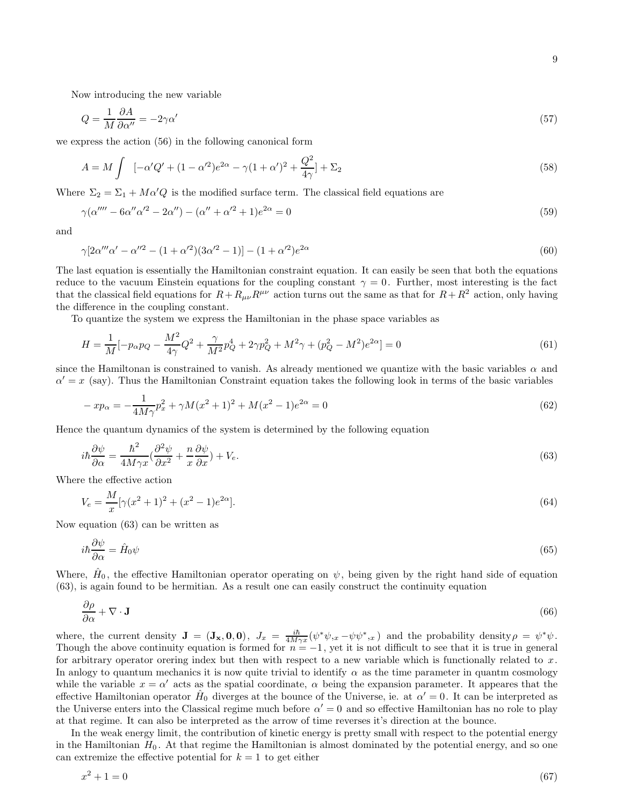Now introducing the new variable

$$
Q = \frac{1}{M} \frac{\partial A}{\partial \alpha''} = -2\gamma \alpha' \tag{57}
$$

we express the action (56) in the following canonical form

$$
A = M \int \left[ -\alpha' Q' + (1 - \alpha'^2) e^{2\alpha} - \gamma (1 + \alpha')^2 + \frac{Q^2}{4\gamma} \right] + \Sigma_2 \tag{58}
$$

Where  $\Sigma_2 = \Sigma_1 + M\alpha'Q$  is the modified surface term. The classical field equations are

$$
\gamma(\alpha'''' - 6\alpha''\alpha'^2 - 2\alpha'') - (\alpha'' + \alpha'^2 + 1)e^{2\alpha} = 0
$$
\n(59)

and

$$
\gamma[2\alpha''' \alpha' - \alpha''^2 - (1 + \alpha'^2)(3\alpha'^2 - 1)] - (1 + \alpha'^2)e^{2\alpha} \tag{60}
$$

The last equation is essentially the Hamiltonian constraint equation. It can easily be seen that both the equations reduce to the vacuum Einstein equations for the coupling constant  $\gamma = 0$ . Further, most interesting is the fact that the classical field equations for  $R+R_{\mu\nu}R^{\mu\nu}$  action turns out the same as that for  $R+R^2$  action, only having the difference in the coupling constant.

To quantize the system we express the Hamiltonian in the phase space variables as

$$
H = \frac{1}{M} \left[ -p_{\alpha} p_Q - \frac{M^2}{4\gamma} Q^2 + \frac{\gamma}{M^2} p_Q^4 + 2\gamma p_Q^2 + M^2 \gamma + (p_Q^2 - M^2) e^{2\alpha} \right] = 0 \tag{61}
$$

since the Hamiltonan is constrained to vanish. As already mentioned we quantize with the basic variables  $\alpha$  and  $\alpha' = x$  (say). Thus the Hamiltonian Constraint equation takes the following look in terms of the basic variables

$$
-xp_{\alpha} = -\frac{1}{4M\gamma}p_x^2 + \gamma M(x^2+1)^2 + M(x^2-1)e^{2\alpha} = 0
$$
\n(62)

Hence the quantum dynamics of the system is determined by the following equation

$$
i\hbar \frac{\partial \psi}{\partial \alpha} = \frac{\hbar^2}{4M\gamma x} \left(\frac{\partial^2 \psi}{\partial x^2} + \frac{n}{x} \frac{\partial \psi}{\partial x}\right) + V_e. \tag{63}
$$

Where the effective action

$$
V_e = \frac{M}{x} [\gamma (x^2 + 1)^2 + (x^2 - 1)e^{2\alpha}].
$$
\n(64)

Now equation (63) can be written as

$$
i\hbar \frac{\partial \psi}{\partial \alpha} = \hat{H}_0 \psi \tag{65}
$$

Where,  $\hat{H}_0$ , the effective Hamiltonian operator operating on  $\psi$ , being given by the right hand side of equation (63), is again found to be hermitian. As a result one can easily construct the continuity equation

$$
\frac{\partial \rho}{\partial \alpha} + \nabla \cdot \mathbf{J} \tag{66}
$$

where, the current density  $\mathbf{J} = (\mathbf{J}_{\mathbf{x}}, \mathbf{0}, \mathbf{0}), \ J_x = \frac{i\hbar}{4M\gamma x} (\psi^* \psi_{,x} - \psi \psi^*_{,x})$  and the probability density  $\rho = \psi^* \psi$ . Though the above continuity equation is formed for  $n = -1$ , yet it is not difficult to see that it is true in general for arbitrary operator orering index but then with respect to a new variable which is functionally related to  $x$ . In anlogy to quantum mechanics it is now quite trivial to identify  $\alpha$  as the time parameter in quantm cosmology while the variable  $x = \alpha'$  acts as the spatial coordinate,  $\alpha$  being the expansion parameter. It appeares that the effective Hamiltonian operator  $\hat{H}_0$  diverges at the bounce of the Universe, ie. at  $\alpha' = 0$ . It can be interpreted as the Universe enters into the Classical regime much before  $\alpha' = 0$  and so effective Hamiltonian has no role to play at that regime. It can also be interpreted as the arrow of time reverses it's direction at the bounce.

In the weak energy limit, the contribution of kinetic energy is pretty small with respect to the potential energy in the Hamiltonian  $H_0$ . At that regime the Hamiltonian is almost dominated by the potential energy, and so one can extremize the effective potential for  $k = 1$  to get either

$$
x^2 + 1 = 0 \tag{67}
$$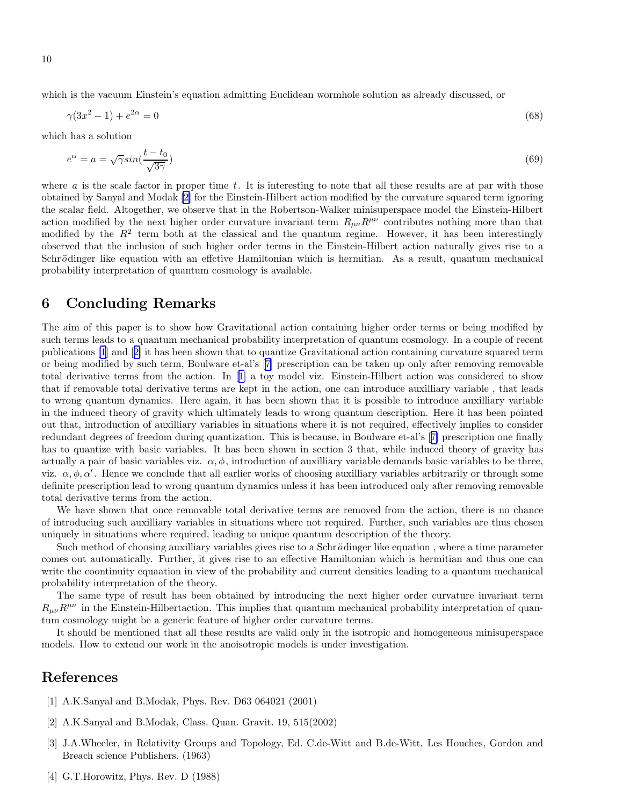<span id="page-9-0"></span>which is the vacuum Einstein's equation admitting Euclidean wormhole solution as already discussed, or

$$
\gamma(3x^2 - 1) + e^{2\alpha} = 0\tag{68}
$$

which has a solution

$$
e^{\alpha} = a = \sqrt{\gamma} \sin(\frac{t - t_0}{\sqrt{3\gamma}})
$$
\n(69)

where  $a$  is the scale factor in proper time  $t$ . It is interesting to note that all these results are at par with those obtained by Sanyal and Modak [2] for the Einstein-Hilbert action modified by the curvature squared term ignoring the scalar field. Altogether, we observe that in the Robertson-Walker minisuperspace model the Einstein-Hilbert action modified by the next higher order curvature invariant term  $R_{\mu\nu}R^{\mu\nu}$  contributes nothing more than that modified by the  $R^2$  term both at the classical and the quantum regime. However, it has been interestingly observed that the inclusion of such higher order terms in the Einstein-Hilbert action naturally gives rise to a Schrödinger like equation with an effctive Hamiltonian which is hermitian. As a result, quantum mechanical probability interpretation of quantum cosmology is available.

#### 6 Concluding Remarks

The aim of this paper is to show how Gravitational action containing higher order terms or being modified by such terms leads to a quantum mechanical probability interpretation of quantum cosmology. In a couple of recent publications [1] and [2] it has been shown that to quantize Gravitational action containing curvature squared term or being modified by such term, Boulware et-al's[[7\]](#page-10-0) prescription can be taken up only after removing removable total derivative terms from the action. In [1] a toy model viz. Einstein-Hilbert action was considered to show that if removable total derivative terms are kept in the action, one can introduce auxilliary variable , that leads to wrong quantum dynamics. Here again, it has been shown that it is possible to introduce auxilliary variable in the induced theory of gravity which ultimately leads to wrong quantum description. Here it has been pointed out that, introduction of auxilliary variables in situations where it is not required, effectively implies to consider redundant degrees of freedom during quantization. This is because, in Boulware et-al's[[7\]](#page-10-0) prescription one finally has to quantize with basic variables. It has been shown in section 3 that, while induced theory of gravity has actually a pair of basic variables viz.  $\alpha, \phi$ , introduction of auxilliary variable demands basic variables to be three, viz.  $\alpha, \phi, \alpha'$ . Hence we conclude that all earlier works of choosing auxilliary variables arbitrarily or through some definite prescription lead to wrong quantum dynamics unless it has been introduced only after removing removable total derivative terms from the action.

We have shown that once removable total derivative terms are removed from the action, there is no chance of introducing such auxilliary variables in situations where not required. Further, such variables are thus chosen uniquely in situations where required, leading to unique quantum desccription of the theory.

Such method of choosing auxilliary variables gives rise to a Schrödinger like equation, where a time parameter comes out automatically. Further, it gives rise to an effective Hamiltonian which is hermitian and thus one can write the coontinuity equaation in view of the probability and current densities leading to a quantum mechanical probability interpretation of the theory.

The same type of result has been obtained by introducing the next higher order curvature invariant term  $R_{\mu\nu}R^{\mu\nu}$  in the Einstein-Hilbertaction. This implies that quantum mechanical probability interpretation of quantum cosmology might be a generic feature of higher order curvature terms.

It should be mentioned that all these results are valid only in the isotropic and homogeneous minisuperspace models. How to extend our work in the anoisotropic models is under investigation.

### References

- [1] A.K.Sanyal and B.Modak, Phys. Rev. D63 064021 (2001)
- [2] A.K.Sanyal and B.Modak, Class. Quan. Gravit. 19, 515(2002)
- [3] J.A.Wheeler, in Relativity Groups and Topology, Ed. C.de-Witt and B.de-Witt, Les Houches, Gordon and Breach science Publishers. (1963)
- [4] G.T.Horowitz, Phys. Rev. D (1988)